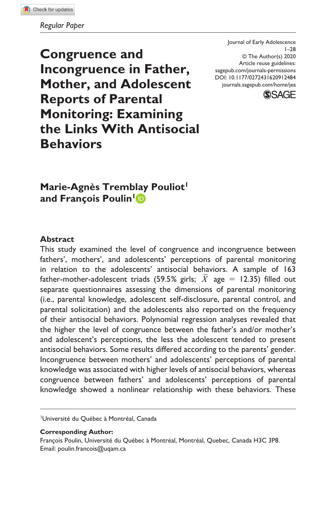**Congruence and Incongruence in Father, Mother, and Adolescent Reports of Parental Monitoring: Examining the Links With Antisocial Behaviors**

DOI: 10.1177/0272431620912484 Journal of Early Adolescence 1–28 © The Author(s) 2020 Article reuse guidelines: [sagepub.com/journals-permissions](https://us.sagepub.com/en-us/journals-permissions) [journals.sagepub.com/home/jea](https://journals.sagepub.com/home/jea)



**Marie-Agnès Tremblay Pouliot and François Poulin1**

#### **Abstract**

This study examined the level of congruence and incongruence between fathers', mothers', and adolescents' perceptions of parental monitoring in relation to the adolescents' antisocial behaviors. A sample of 163 father-mother-adolescent triads (59.5% girls;  $\overline{X}$  age = 12.35) filled out separate questionnaires assessing the dimensions of parental monitoring (i.e., parental knowledge, adolescent self-disclosure, parental control, and parental solicitation) and the adolescents also reported on the frequency of their antisocial behaviors. Polynomial regression analyses revealed that the higher the level of congruence between the father's and/or mother's and adolescent's perceptions, the less the adolescent tended to present antisocial behaviors. Some results differed according to the parents' gender. Incongruence between mothers' and adolescents' perceptions of parental knowledge was associated with higher levels of antisocial behaviors, whereas congruence between fathers' and adolescents' perceptions of parental knowledge showed a nonlinear relationship with these behaviors. These

1 Université du Québec à Montréal, Canada

**Corresponding Author:**

François Poulin, Université du Québec à Montréal, Montréal, Quebec, Canada H3C 3P8. Email: [poulin.francois@uqam.ca](mailto:poulin.francois@uqam.ca)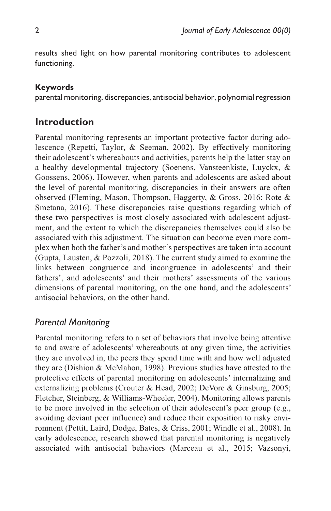results shed light on how parental monitoring contributes to adolescent functioning.

## **Keywords**

parental monitoring, discrepancies, antisocial behavior, polynomial regression

# **Introduction**

Parental monitoring represents an important protective factor during adolescence (Repetti, Taylor, & Seeman, 2002). By effectively monitoring their adolescent's whereabouts and activities, parents help the latter stay on a healthy developmental trajectory (Soenens, Vansteenkiste, Luyckx, & Goossens, 2006). However, when parents and adolescents are asked about the level of parental monitoring, discrepancies in their answers are often observed (Fleming, Mason, Thompson, Haggerty, & Gross, 2016; Rote & Smetana, 2016). These discrepancies raise questions regarding which of these two perspectives is most closely associated with adolescent adjustment, and the extent to which the discrepancies themselves could also be associated with this adjustment. The situation can become even more complex when both the father's and mother's perspectives are taken into account (Gupta, Lausten, & Pozzoli, 2018). The current study aimed to examine the links between congruence and incongruence in adolescents' and their fathers', and adolescents' and their mothers' assessments of the various dimensions of parental monitoring, on the one hand, and the adolescents' antisocial behaviors, on the other hand.

# *Parental Monitoring*

Parental monitoring refers to a set of behaviors that involve being attentive to and aware of adolescents' whereabouts at any given time, the activities they are involved in, the peers they spend time with and how well adjusted they are (Dishion & McMahon, 1998). Previous studies have attested to the protective effects of parental monitoring on adolescents' internalizing and externalizing problems (Crouter & Head, 2002; DeVore & Ginsburg, 2005; Fletcher, Steinberg, & Williams-Wheeler, 2004). Monitoring allows parents to be more involved in the selection of their adolescent's peer group (e.g., avoiding deviant peer influence) and reduce their exposition to risky environment (Pettit, Laird, Dodge, Bates, & Criss, 2001; Windle et al., 2008). In early adolescence, research showed that parental monitoring is negatively associated with antisocial behaviors (Marceau et al., 2015; Vazsonyi,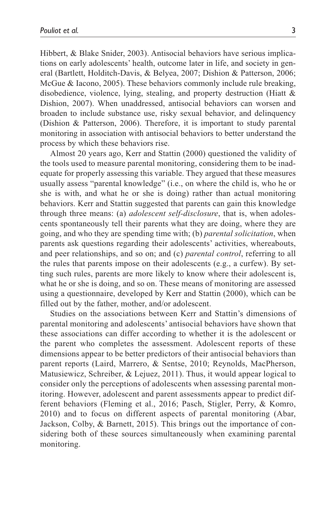Hibbert, & Blake Snider, 2003). Antisocial behaviors have serious implications on early adolescents' health, outcome later in life, and society in general (Bartlett, Holditch-Davis, & Belyea, 2007; Dishion & Patterson, 2006; McGue & Iacono, 2005). These behaviors commonly include rule breaking, disobedience, violence, lying, stealing, and property destruction (Hiatt & Dishion, 2007). When unaddressed, antisocial behaviors can worsen and broaden to include substance use, risky sexual behavior, and delinquency (Dishion & Patterson, 2006). Therefore, it is important to study parental monitoring in association with antisocial behaviors to better understand the process by which these behaviors rise.

Almost 20 years ago, Kerr and Stattin (2000) questioned the validity of the tools used to measure parental monitoring, considering them to be inadequate for properly assessing this variable. They argued that these measures usually assess "parental knowledge" (i.e., on where the child is, who he or she is with, and what he or she is doing) rather than actual monitoring behaviors. Kerr and Stattin suggested that parents can gain this knowledge through three means: (a) *adolescent self-disclosure*, that is, when adolescents spontaneously tell their parents what they are doing, where they are going, and who they are spending time with; (b) *parental solicitation*, when parents ask questions regarding their adolescents' activities, whereabouts, and peer relationships, and so on; and (c) *parental control*, referring to all the rules that parents impose on their adolescents (e.g., a curfew). By setting such rules, parents are more likely to know where their adolescent is, what he or she is doing, and so on. These means of monitoring are assessed using a questionnaire, developed by Kerr and Stattin (2000), which can be filled out by the father, mother, and/or adolescent.

Studies on the associations between Kerr and Stattin's dimensions of parental monitoring and adolescents' antisocial behaviors have shown that these associations can differ according to whether it is the adolescent or the parent who completes the assessment. Adolescent reports of these dimensions appear to be better predictors of their antisocial behaviors than parent reports (Laird, Marrero, & Sentse, 2010; Reynolds, MacPherson, Matusiewicz, Schreiber, & Lejuez, 2011). Thus, it would appear logical to consider only the perceptions of adolescents when assessing parental monitoring. However, adolescent and parent assessments appear to predict different behaviors (Fleming et al., 2016; Pasch, Stigler, Perry, & Komro, 2010) and to focus on different aspects of parental monitoring (Abar, Jackson, Colby, & Barnett, 2015). This brings out the importance of considering both of these sources simultaneously when examining parental monitoring.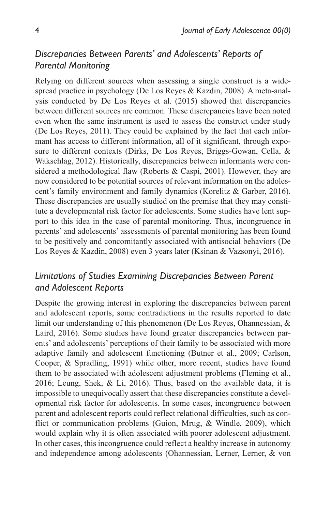# *Discrepancies Between Parents' and Adolescents' Reports of Parental Monitoring*

Relying on different sources when assessing a single construct is a widespread practice in psychology (De Los Reyes & Kazdin, 2008). A meta-analysis conducted by De Los Reyes et al. (2015) showed that discrepancies between different sources are common. These discrepancies have been noted even when the same instrument is used to assess the construct under study (De Los Reyes, 2011). They could be explained by the fact that each informant has access to different information, all of it significant, through exposure to different contexts (Dirks, De Los Reyes, Briggs-Gowan, Cella, & Wakschlag, 2012). Historically, discrepancies between informants were considered a methodological flaw (Roberts & Caspi, 2001). However, they are now considered to be potential sources of relevant information on the adolescent's family environment and family dynamics (Korelitz & Garber, 2016). These discrepancies are usually studied on the premise that they may constitute a developmental risk factor for adolescents. Some studies have lent support to this idea in the case of parental monitoring. Thus, incongruence in parents' and adolescents' assessments of parental monitoring has been found to be positively and concomitantly associated with antisocial behaviors (De Los Reyes & Kazdin, 2008) even 3 years later (Ksinan & Vazsonyi, 2016).

## *Limitations of Studies Examining Discrepancies Between Parent and Adolescent Reports*

Despite the growing interest in exploring the discrepancies between parent and adolescent reports, some contradictions in the results reported to date limit our understanding of this phenomenon (De Los Reyes, Ohannessian, & Laird, 2016). Some studies have found greater discrepancies between parents' and adolescents' perceptions of their family to be associated with more adaptive family and adolescent functioning (Butner et al., 2009; Carlson, Cooper, & Spradling, 1991) while other, more recent, studies have found them to be associated with adolescent adjustment problems (Fleming et al., 2016; Leung, Shek, & Li, 2016). Thus, based on the available data, it is impossible to unequivocally assert that these discrepancies constitute a developmental risk factor for adolescents. In some cases, incongruence between parent and adolescent reports could reflect relational difficulties, such as conflict or communication problems (Guion, Mrug, & Windle, 2009), which would explain why it is often associated with poorer adolescent adjustment. In other cases, this incongruence could reflect a healthy increase in autonomy and independence among adolescents (Ohannessian, Lerner, Lerner, & von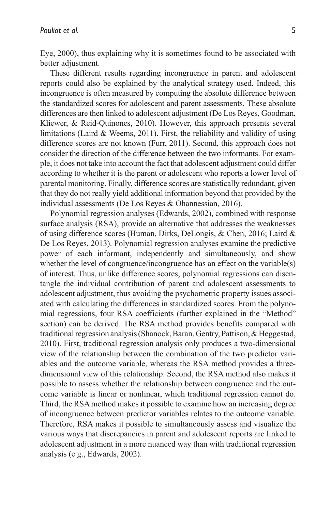Eye, 2000), thus explaining why it is sometimes found to be associated with better adjustment.

These different results regarding incongruence in parent and adolescent reports could also be explained by the analytical strategy used. Indeed, this incongruence is often measured by computing the absolute difference between the standardized scores for adolescent and parent assessments. These absolute differences are then linked to adolescent adjustment (De Los Reyes, Goodman, Kliewer, & Reid-Quinones, 2010). However, this approach presents several limitations (Laird & Weems, 2011). First, the reliability and validity of using difference scores are not known (Furr, 2011). Second, this approach does not consider the direction of the difference between the two informants. For example, it does not take into account the fact that adolescent adjustment could differ according to whether it is the parent or adolescent who reports a lower level of parental monitoring. Finally, difference scores are statistically redundant, given that they do not really yield additional information beyond that provided by the individual assessments (De Los Reyes & Ohannessian, 2016).

Polynomial regression analyses (Edwards, 2002), combined with response surface analysis (RSA), provide an alternative that addresses the weaknesses of using difference scores (Human, Dirks, DeLongis, & Chen, 2016; Laird & De Los Reyes, 2013). Polynomial regression analyses examine the predictive power of each informant, independently and simultaneously, and show whether the level of congruence/incongruence has an effect on the variable(s) of interest. Thus, unlike difference scores, polynomial regressions can disentangle the individual contribution of parent and adolescent assessments to adolescent adjustment, thus avoiding the psychometric property issues associated with calculating the differences in standardized scores. From the polynomial regressions, four RSA coefficients (further explained in the "Method" section) can be derived. The RSA method provides benefits compared with traditional regression analysis (Shanock, Baran, Gentry, Pattison, & Heggestad, 2010). First, traditional regression analysis only produces a two-dimensional view of the relationship between the combination of the two predictor variables and the outcome variable, whereas the RSA method provides a threedimensional view of this relationship. Second, the RSA method also makes it possible to assess whether the relationship between congruence and the outcome variable is linear or nonlinear, which traditional regression cannot do. Third, the RSA method makes it possible to examine how an increasing degree of incongruence between predictor variables relates to the outcome variable. Therefore, RSA makes it possible to simultaneously assess and visualize the various ways that discrepancies in parent and adolescent reports are linked to adolescent adjustment in a more nuanced way than with traditional regression analysis (e g., Edwards, 2002).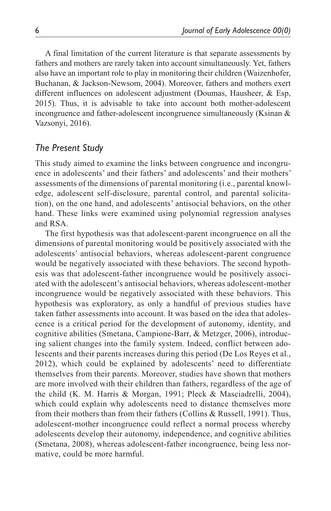A final limitation of the current literature is that separate assessments by fathers and mothers are rarely taken into account simultaneously. Yet, fathers also have an important role to play in monitoring their children (Waizenhofer, Buchanan, & Jackson-Newsom, 2004). Moreover, fathers and mothers exert different influences on adolescent adjustment (Doumas, Hausheer, & Esp, 2015). Thus, it is advisable to take into account both mother-adolescent incongruence and father-adolescent incongruence simultaneously (Ksinan & Vazsonyi, 2016).

## *The Present Study*

This study aimed to examine the links between congruence and incongruence in adolescents' and their fathers' and adolescents' and their mothers' assessments of the dimensions of parental monitoring (i.e., parental knowledge, adolescent self-disclosure, parental control, and parental solicitation), on the one hand, and adolescents' antisocial behaviors, on the other hand. These links were examined using polynomial regression analyses and RSA.

The first hypothesis was that adolescent-parent incongruence on all the dimensions of parental monitoring would be positively associated with the adolescents' antisocial behaviors, whereas adolescent-parent congruence would be negatively associated with these behaviors. The second hypothesis was that adolescent-father incongruence would be positively associated with the adolescent's antisocial behaviors, whereas adolescent-mother incongruence would be negatively associated with these behaviors. This hypothesis was exploratory, as only a handful of previous studies have taken father assessments into account. It was based on the idea that adolescence is a critical period for the development of autonomy, identity, and cognitive abilities (Smetana, Campione-Barr, & Metzger, 2006), introducing salient changes into the family system. Indeed, conflict between adolescents and their parents increases during this period (De Los Reyes et al., 2012), which could be explained by adolescents' need to differentiate themselves from their parents. Moreover, studies have shown that mothers are more involved with their children than fathers, regardless of the age of the child (K. M. Harris & Morgan, 1991; Pleck & Masciadrelli, 2004), which could explain why adolescents need to distance themselves more from their mothers than from their fathers (Collins & Russell, 1991). Thus, adolescent-mother incongruence could reflect a normal process whereby adolescents develop their autonomy, independence, and cognitive abilities (Smetana, 2008), whereas adolescent-father incongruence, being less normative, could be more harmful.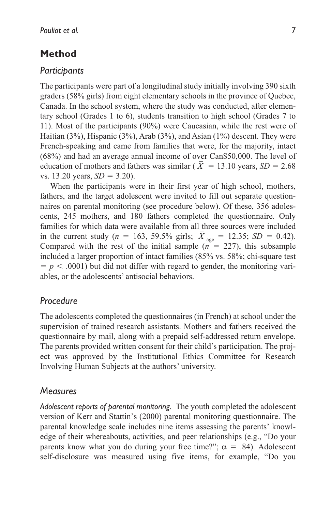## **Method**

#### *Participants*

The participants were part of a longitudinal study initially involving 390 sixth graders (58% girls) from eight elementary schools in the province of Quebec, Canada. In the school system, where the study was conducted, after elementary school (Grades 1 to 6), students transition to high school (Grades 7 to 11). Most of the participants (90%) were Caucasian, while the rest were of Haitian (3%), Hispanic (3%), Arab (3%), and Asian (1%) descent. They were French-speaking and came from families that were, for the majority, intact (68%) and had an average annual income of over Can\$50,000. The level of education of mothers and fathers was similar ( $\overline{X} = 13.10$  years,  $SD = 2.68$ vs.  $13.20$  years,  $SD = 3.20$ ).

When the participants were in their first year of high school, mothers, fathers, and the target adolescent were invited to fill out separate questionnaires on parental monitoring (see procedure below). Of these, 356 adolescents, 245 mothers, and 180 fathers completed the questionnaire. Only families for which data were available from all three sources were included in the current study (*n* = 163, 59.5% girls;  $\bar{X}_{\text{age}} = 12.35$ ; *SD* = 0.42). Compared with the rest of the initial sample  $(n = 227)$ , this subsample included a larger proportion of intact families (85% vs. 58%; chi-square test  $p < .0001$ ) but did not differ with regard to gender, the monitoring variables, or the adolescents' antisocial behaviors.

### *Procedure*

The adolescents completed the questionnaires (in French) at school under the supervision of trained research assistants. Mothers and fathers received the questionnaire by mail, along with a prepaid self-addressed return envelope. The parents provided written consent for their child's participation. The project was approved by the Institutional Ethics Committee for Research Involving Human Subjects at the authors' university.

### *Measures*

*Adolescent reports of parental monitoring.* The youth completed the adolescent version of Kerr and Stattin's (2000) parental monitoring questionnaire. The parental knowledge scale includes nine items assessing the parents' knowledge of their whereabouts, activities, and peer relationships (e.g., "Do your parents know what you do during your free time?";  $\alpha = .84$ ). Adolescent self-disclosure was measured using five items, for example, "Do you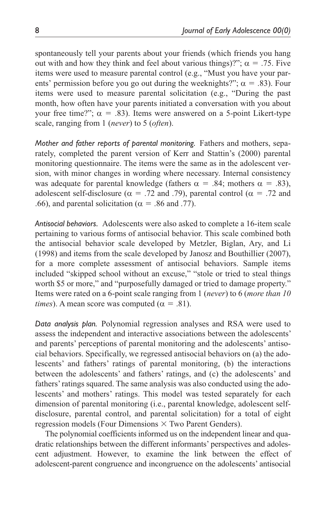spontaneously tell your parents about your friends (which friends you hang out with and how they think and feel about various things)?";  $\alpha = .75$ . Five items were used to measure parental control (e.g., "Must you have your parents' permission before you go out during the weeknights?";  $\alpha = .83$ ). Four items were used to measure parental solicitation (e.g., "During the past month, how often have your parents initiated a conversation with you about your free time?";  $\alpha = .83$ ). Items were answered on a 5-point Likert-type scale, ranging from 1 (*never*) to 5 (*often*).

*Mother and father reports of parental monitoring.* Fathers and mothers, separately, completed the parent version of Kerr and Stattin's (2000) parental monitoring questionnaire. The items were the same as in the adolescent version, with minor changes in wording where necessary. Internal consistency was adequate for parental knowledge (fathers  $\alpha = .84$ ; mothers  $\alpha = .83$ ), adolescent self-disclosure ( $\alpha$  = .72 and .79), parental control ( $\alpha$  = .72 and .66), and parental solicitation ( $\alpha$  = .86 and .77).

*Antisocial behaviors.* Adolescents were also asked to complete a 16-item scale pertaining to various forms of antisocial behavior. This scale combined both the antisocial behavior scale developed by Metzler, Biglan, Ary, and Li (1998) and items from the scale developed by Janosz and Bouthillier (2007), for a more complete assessment of antisocial behaviors. Sample items included "skipped school without an excuse," "stole or tried to steal things worth \$5 or more," and "purposefully damaged or tried to damage property." Items were rated on a 6-point scale ranging from 1 (*never*) to 6 (*more than 10 times*). A mean score was computed ( $\alpha = .81$ ).

*Data analysis plan.* Polynomial regression analyses and RSA were used to assess the independent and interactive associations between the adolescents' and parents' perceptions of parental monitoring and the adolescents' antisocial behaviors. Specifically, we regressed antisocial behaviors on (a) the adolescents' and fathers' ratings of parental monitoring, (b) the interactions between the adolescents' and fathers' ratings, and (c) the adolescents' and fathers' ratings squared. The same analysis was also conducted using the adolescents' and mothers' ratings. This model was tested separately for each dimension of parental monitoring (i.e., parental knowledge, adolescent selfdisclosure, parental control, and parental solicitation) for a total of eight regression models (Four Dimensions  $\times$  Two Parent Genders).

The polynomial coefficients informed us on the independent linear and quadratic relationships between the different informants' perspectives and adolescent adjustment. However, to examine the link between the effect of adolescent-parent congruence and incongruence on the adolescents' antisocial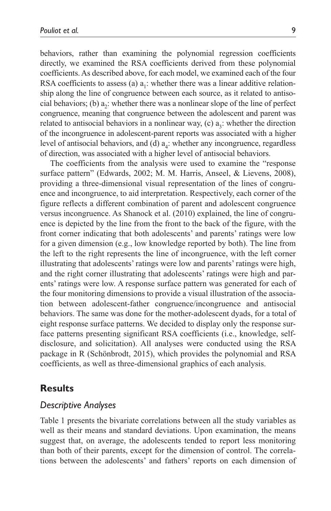behaviors, rather than examining the polynomial regression coefficients directly, we examined the RSA coefficients derived from these polynomial coefficients. As described above, for each model, we examined each of the four RSA coefficients to assess (a)  $a_1$ : whether there was a linear additive relationship along the line of congruence between each source, as it related to antisocial behaviors; (b)  $a_2$ : whether there was a nonlinear slope of the line of perfect congruence, meaning that congruence between the adolescent and parent was related to antisocial behaviors in a nonlinear way, (c)  $a_3$ : whether the direction of the incongruence in adolescent-parent reports was associated with a higher level of antisocial behaviors, and (d)  $a_4$ : whether any incongruence, regardless of direction, was associated with a higher level of antisocial behaviors.

The coefficients from the analysis were used to examine the "response surface pattern" (Edwards, 2002; M. M. Harris, Anseel, & Lievens, 2008), providing a three-dimensional visual representation of the lines of congruence and incongruence, to aid interpretation. Respectively, each corner of the figure reflects a different combination of parent and adolescent congruence versus incongruence. As Shanock et al. (2010) explained, the line of congruence is depicted by the line from the front to the back of the figure, with the front corner indicating that both adolescents' and parents' ratings were low for a given dimension (e.g., low knowledge reported by both). The line from the left to the right represents the line of incongruence, with the left corner illustrating that adolescents' ratings were low and parents' ratings were high, and the right corner illustrating that adolescents' ratings were high and parents' ratings were low. A response surface pattern was generated for each of the four monitoring dimensions to provide a visual illustration of the association between adolescent-father congruence/incongruence and antisocial behaviors. The same was done for the mother-adolescent dyads, for a total of eight response surface patterns. We decided to display only the response surface patterns presenting significant RSA coefficients (i.e., knowledge, selfdisclosure, and solicitation). All analyses were conducted using the RSA package in R (Schönbrodt, 2015), which provides the polynomial and RSA coefficients, as well as three-dimensional graphics of each analysis.

### **Results**

#### *Descriptive Analyses*

Table 1 presents the bivariate correlations between all the study variables as well as their means and standard deviations. Upon examination, the means suggest that, on average, the adolescents tended to report less monitoring than both of their parents, except for the dimension of control. The correlations between the adolescents' and fathers' reports on each dimension of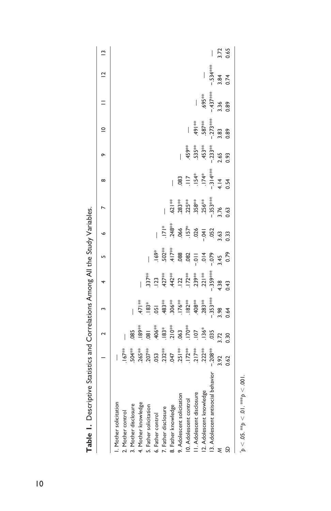|                                    |                                                                                                                                                                                                                                                                                                     | $\sim$                   |                         |                 |                    | $\circ$       |           | $\infty$  | õ         | $\supseteq$              |                          | $\frac{1}{2}$ | $\tilde{=}$              |
|------------------------------------|-----------------------------------------------------------------------------------------------------------------------------------------------------------------------------------------------------------------------------------------------------------------------------------------------------|--------------------------|-------------------------|-----------------|--------------------|---------------|-----------|-----------|-----------|--------------------------|--------------------------|---------------|--------------------------|
| I. Mother solicitation             | I                                                                                                                                                                                                                                                                                                   |                          |                         |                 |                    |               |           |           |           |                          |                          |               |                          |
| 2. Mother control                  | $.167***$                                                                                                                                                                                                                                                                                           | $\overline{\phantom{a}}$ |                         |                 |                    |               |           |           |           |                          |                          |               |                          |
| 3. Mother disclosure               |                                                                                                                                                                                                                                                                                                     | 85                       |                         |                 |                    |               |           |           |           |                          |                          |               |                          |
| 4. Mother knowledge                |                                                                                                                                                                                                                                                                                                     | 189**                    | 47   **                 |                 |                    |               |           |           |           |                          |                          |               |                          |
| 5. Father solicitation             | $\begin{array}{l} 504\% \\ 265\% \\ 207\% \\ 209\% \\ 212\% \\ 223\% \\ 237\% \\ 247\% \\ 251\% \\ 217\% \\ 217\% \\ 217\% \\ 217\% \\ 217\% \\ 217\% \\ 217\% \\ 217\% \\ 217\% \\ 217\% \\ 217\% \\ 217\% \\ 217\% \\ 217\% \\ 217\% \\ 217\% \\ 217\% \\ 217\% \\ 217\% \\ 217\% \\ 217\% \\ 21$ | $\overline{180}$         | $183*$                  | $.337**$        |                    |               |           |           |           |                          |                          |               |                          |
| 6. Father control                  |                                                                                                                                                                                                                                                                                                     | 406**                    | 051                     | $\overline{23}$ | $.169*$            |               |           |           |           |                          |                          |               |                          |
| 7. Father disclosure               |                                                                                                                                                                                                                                                                                                     | $183*$                   |                         | $427***$        | $.502**$           | $\frac{1}{2}$ |           |           |           |                          |                          |               |                          |
| 8. Father knowledge                |                                                                                                                                                                                                                                                                                                     | $.210***$                | #83**<br>306**<br>176** | $.442***$       | $417**$            | $248***$      | 621**     |           |           |                          |                          |               |                          |
| 9. Adolescent solicitation         |                                                                                                                                                                                                                                                                                                     | .063                     |                         | .122            | 088                | .066          | $.283**$  | 083       | Í         |                          |                          |               |                          |
| 10. Adolescent control             |                                                                                                                                                                                                                                                                                                     | .170**                   | $182**$                 | $.172**$        | .082               | $.157*$       | $225***$  | $\equiv$  | 459**     | $\overline{\phantom{a}}$ |                          |               |                          |
| II. Adolescent disclosure          |                                                                                                                                                                                                                                                                                                     | 107                      | $.408***$               | .239**          | $=$ $\overline{0}$ | .026          | $.358***$ | $.154*$   | $.535***$ | ** 164                   | $\overline{\phantom{a}}$ |               |                          |
| 12. Adolescent knowledge           | $222**$                                                                                                                                                                                                                                                                                             | $.136*$                  | $.283***$               | $.221$ **       | 014                | $-0.41$       | $.256***$ | $.174*$   | $-453***$ | .587**                   | .695**                   |               |                          |
| 13. Adolescent antisocial behavior | $-208**$                                                                                                                                                                                                                                                                                            | .035                     | $-353***$               | .359***         | $-0.079$           | .052          | $-353***$ | $-314***$ | $-233**$  | $-273***$                | $-437***$                | $-534***$     | $\overline{\phantom{a}}$ |
| ξ                                  | 3.92                                                                                                                                                                                                                                                                                                | 3.72                     | 3.98                    | 4.38            | 3.45               | 3.63          | 3.76      | 4.14      | 2.65      | 3.83                     | 3.36                     | 3.84          | 3.72<br>0.65             |
| SD                                 | 0.62                                                                                                                                                                                                                                                                                                | 0.30                     | 0.64                    | 0.43            | 0.79               | 0.33          | 0.63      | 0.54      | 0.93      | 0.89                     | 0.89                     | 0.74          |                          |
|                                    |                                                                                                                                                                                                                                                                                                     |                          |                         |                 |                    |               |           |           |           |                          |                          |               |                          |

**Table 1.** Descriptive Statistics and Correlations Among All the Study Variables. **Table 1.** Descriptive Statistics and Correlations Among All the Study Variables.

 $p < 0.05$ . \*\*p  $< 0.01$ . \*\*\*p  $< 0.001$ .  $p < 0.05$ . \*\* $p < 0.1$ . \*\*\* $p < 0.01$ .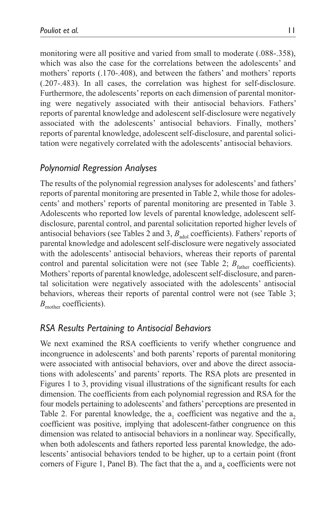monitoring were all positive and varied from small to moderate (.088-.358), which was also the case for the correlations between the adolescents' and mothers' reports (.170-.408), and between the fathers' and mothers' reports (.207-.483). In all cases, the correlation was highest for self-disclosure. Furthermore, the adolescents' reports on each dimension of parental monitoring were negatively associated with their antisocial behaviors. Fathers' reports of parental knowledge and adolescent self-disclosure were negatively associated with the adolescents' antisocial behaviors. Finally, mothers' reports of parental knowledge, adolescent self-disclosure, and parental solicitation were negatively correlated with the adolescents' antisocial behaviors.

## *Polynomial Regression Analyses*

The results of the polynomial regression analyses for adolescents' and fathers' reports of parental monitoring are presented in Table 2, while those for adolescents' and mothers' reports of parental monitoring are presented in Table 3. Adolescents who reported low levels of parental knowledge, adolescent selfdisclosure, parental control, and parental solicitation reported higher levels of antisocial behaviors (see Tables 2 and 3,  $B<sub>adool</sub>$  coefficients). Fathers' reports of parental knowledge and adolescent self-disclosure were negatively associated with the adolescents' antisocial behaviors, whereas their reports of parental control and parental solicitation were not (see Table 2;  $B<sub>father</sub>$  coefficients). Mothers' reports of parental knowledge, adolescent self-disclosure, and parental solicitation were negatively associated with the adolescents' antisocial behaviors, whereas their reports of parental control were not (see Table 3; *B*<sub>mother</sub> coefficients).

## *RSA Results Pertaining to Antisocial Behaviors*

We next examined the RSA coefficients to verify whether congruence and incongruence in adolescents' and both parents' reports of parental monitoring were associated with antisocial behaviors, over and above the direct associations with adolescents' and parents' reports. The RSA plots are presented in Figures 1 to 3, providing visual illustrations of the significant results for each dimension. The coefficients from each polynomial regression and RSA for the four models pertaining to adolescents' and fathers' perceptions are presented in Table 2. For parental knowledge, the  $a_1$  coefficient was negative and the  $a_2$ coefficient was positive, implying that adolescent-father congruence on this dimension was related to antisocial behaviors in a nonlinear way. Specifically, when both adolescents and fathers reported less parental knowledge, the adolescents' antisocial behaviors tended to be higher, up to a certain point (front corners of Figure 1, Panel B). The fact that the  $a_3$  and  $a_4$  coefficients were not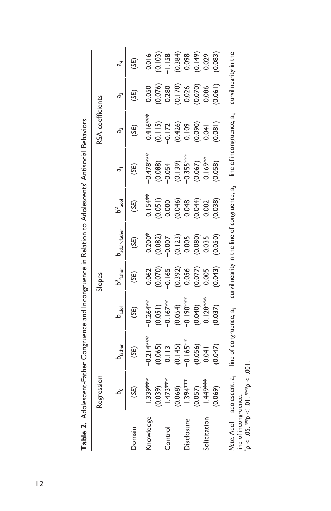|                | egression                                                               |                                                                                                                      |                                                                                                                                                      | Slopes                                                                                                             |                                                                                                                                  |                                                                                   |                                                                                                               | <b>RSA</b> coefficients |                                                                                                               |                                                                                        |
|----------------|-------------------------------------------------------------------------|----------------------------------------------------------------------------------------------------------------------|------------------------------------------------------------------------------------------------------------------------------------------------------|--------------------------------------------------------------------------------------------------------------------|----------------------------------------------------------------------------------------------------------------------------------|-----------------------------------------------------------------------------------|---------------------------------------------------------------------------------------------------------------|-------------------------|---------------------------------------------------------------------------------------------------------------|----------------------------------------------------------------------------------------|
|                |                                                                         | $b_{\text{father}}$                                                                                                  | $\mathsf{b}_{\mathsf{add}}^{\mathsf{bad}}$                                                                                                           | $b^2_{\text{ father}}$                                                                                             | $\mathbf{0}_{\mathrm{adol}\times\mathrm{father}}$                                                                                | $b2$ adol                                                                         |                                                                                                               | ಕ್ತ                     | ಹೆ                                                                                                            |                                                                                        |
| Jomain         | (3E)                                                                    | (3E)                                                                                                                 | (35)                                                                                                                                                 | (SE)                                                                                                               | (35)                                                                                                                             | (3E)                                                                              | (35)                                                                                                          | (SE)                    |                                                                                                               | (SE)                                                                                   |
| inowledge      |                                                                         |                                                                                                                      |                                                                                                                                                      |                                                                                                                    |                                                                                                                                  |                                                                                   |                                                                                                               |                         |                                                                                                               |                                                                                        |
| <b>Control</b> | $1.339$ ****<br>(0.039)<br>(1.473***<br>(1.394***<br>(1.057)<br>(1.057) | $-0.214$ ***<br>$(0.065)$<br>$(0.113)$<br>$(0.145)$<br>$(0.145)$<br>$-0.165$ **<br>$-0.056$<br>$-0.041$<br>$(0.047)$ | $\begin{array}{l} -0.264^{348} \ (0.051) \ (0.054) \ (0.054) \ (0.054) \ (0.054) \ (0.040) \ (0.040) \ (0.040) \ (0.040) \ -0.128^{348} \end{array}$ | $\begin{array}{l} 0.062 \\ 0.070) \\ -0.165 \\ 0.392) \\ 0.056 \\ 0.007) \\ 0.005 \\ 0.003 \\ 0.0043) \end{array}$ | $\begin{array}{l} 0.200^{*} \\ (0.082) \\ (0.007) \\ (0.123) \\ (0.005) \\ (0.008) \\ (0.035) \\ (0.050) \\ (0.050) \end{array}$ | $0.154**$ $0.051)$ $0.0000$ $0.0046$ $0.0046$ $0.0046$ $0.0000$ $0.0000$ $0.0038$ | $-0.478$ ***<br>(0.088)<br>(0.054<br>-0.135;***<br>-0.1667)<br>-0.169**                                       | $0.418$                 | $\begin{array}{l} 0.050 \\ (0.076) \\ 0.280 \\ (0.170) \\ 0.026 \\ (0.0070) \\ 0.0086 \\ (0.061) \end{array}$ | $0.016$<br>$(0.103)$<br>$(-1.158)$<br>$(0.384)$<br>$(0.149)$<br>$(0.149)$<br>$(0.029)$ |
| isclosure      |                                                                         |                                                                                                                      |                                                                                                                                                      |                                                                                                                    |                                                                                                                                  |                                                                                   |                                                                                                               |                         |                                                                                                               |                                                                                        |
|                |                                                                         |                                                                                                                      |                                                                                                                                                      |                                                                                                                    |                                                                                                                                  |                                                                                   |                                                                                                               |                         |                                                                                                               |                                                                                        |
|                | 0.069)                                                                  |                                                                                                                      |                                                                                                                                                      |                                                                                                                    |                                                                                                                                  |                                                                                   |                                                                                                               |                         |                                                                                                               |                                                                                        |
|                | Note. $Adol = adolescent: a$ .                                          |                                                                                                                      |                                                                                                                                                      |                                                                                                                    |                                                                                                                                  |                                                                                   | $=$ line of congruence: $a_n =$ curvilinearity in the line of congruence: $a_n =$ line of incongruence: $a_n$ |                         | curvilinearity in the                                                                                         |                                                                                        |

| l<br>I                   |
|--------------------------|
| $\vdots$                 |
| $\vdots$                 |
| ١                        |
| יה הוא הוא הוא<br>5<br>I |
|                          |
| i<br>إ<br>Table 7<br>í   |

Note. Adol = adolescent;  $a_1$  = line of congruence;  $a_2$  = curvilinearity in the line of congruence;  $a_3$  = line of incongruence;  $a_4$  = curvilinearity in the ŗ ŗ ġ ֧֪֧֪֧֧֧֧֧֧֧֧֧֝֝֘֝֘֝֟֩֩֓֝֓֝֓֝֟֓֝֓֟֓֝֓֝֓֝֓֟<br>֧֧֧֧֧֧֪֧֝֩֩֩֓֝֓֘֩֩֩֓֝֘֝֝ .<br>9  $\ddot{\phantom{0}}$ N ġ Note. Adol = adolescent; a<sub>i</sub> = line<br>line of incongruence.<br>\*p < .05. \*\*p < .01. \*\*\*p < .001. \**p* < .05. \*\**p* < .01. \*\*\**p* < .001.line of incongruence.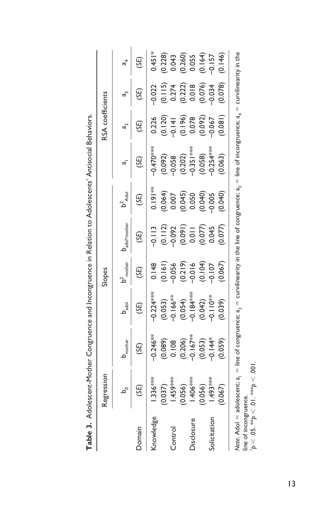|                | legression                                                                                                                                                         |                                                                                      |                                                                                                 | ilopes                                                                                                            |                                                                                        |                                                |                                                                             | RSA coefficients                                                                          |                                                                                        |                                                                                             |
|----------------|--------------------------------------------------------------------------------------------------------------------------------------------------------------------|--------------------------------------------------------------------------------------|-------------------------------------------------------------------------------------------------|-------------------------------------------------------------------------------------------------------------------|----------------------------------------------------------------------------------------|------------------------------------------------|-----------------------------------------------------------------------------|-------------------------------------------------------------------------------------------|----------------------------------------------------------------------------------------|---------------------------------------------------------------------------------------------|
|                |                                                                                                                                                                    | <b>D</b> <sub>mother</sub>                                                           |                                                                                                 | $b2$ mother                                                                                                       | adol*mother                                                                            |                                                |                                                                             |                                                                                           |                                                                                        |                                                                                             |
| Jomain         | (3S)                                                                                                                                                               | (3E)                                                                                 |                                                                                                 | (3E)                                                                                                              |                                                                                        |                                                |                                                                             |                                                                                           |                                                                                        |                                                                                             |
| nowledge       | $.336***$                                                                                                                                                          | $-0.246**$<br>$(0.089)$<br>$0.108$<br>$0.006$<br>$-0.167**$<br>$-0.053$<br>$-0.0353$ | $-0.224***$                                                                                     | $\begin{array}{c} 0.148 \\ (0.161) \\ (0.156) \\ (0.219) \\ (0.219) \\ (0.104) \\ (0.107) \\ (0.067) \end{array}$ | $-0.113$<br>$(0.112)$<br>$(0.092)$<br>$(0.091)$<br>$(0.077)$<br>$(0.077)$<br>$(0.077)$ | $0.191**$                                      | $-0.470***$                                                                 | 0.226                                                                                     | $-0.022$<br>$(0.115)$<br>$(0.274)$<br>$(0.272)$<br>$(0.018)$<br>$(0.078)$<br>$(0.078)$ | $0.451*$                                                                                    |
| <b>Control</b> | $(0.037)$<br>$-1.459***$<br>$(0.056)$<br>$-1.406***$<br>$-1.493***$                                                                                                |                                                                                      | $(0.053)$<br>$-0.166***$<br>$(0.054)$<br>$-0.184***$<br>$-0.194***$<br>$-0.110**$<br>$-0.110**$ |                                                                                                                   |                                                                                        | $(0.064)$<br>0.007<br>0.045)<br>0.050<br>0.005 | $(0.092)$<br>$-0.058$<br>$-0.202$<br>$-0.351***$<br>$-0.058$<br>$-0.354***$ | $\begin{array}{c} (0.120) \\ -0.141 \\ (0.196) \\ 0.078 \\ (0.092) \\ -0.067 \end{array}$ |                                                                                        | $\begin{array}{c} (0.228) \\ 0.043 \\ (0.260) \\ 0.055 \\ (0.164) \\ -0.157 \\ \end{array}$ |
|                |                                                                                                                                                                    |                                                                                      |                                                                                                 |                                                                                                                   |                                                                                        |                                                |                                                                             |                                                                                           |                                                                                        |                                                                                             |
|                |                                                                                                                                                                    |                                                                                      |                                                                                                 |                                                                                                                   |                                                                                        |                                                |                                                                             |                                                                                           |                                                                                        |                                                                                             |
|                |                                                                                                                                                                    |                                                                                      |                                                                                                 |                                                                                                                   |                                                                                        |                                                |                                                                             |                                                                                           |                                                                                        |                                                                                             |
|                |                                                                                                                                                                    |                                                                                      |                                                                                                 |                                                                                                                   |                                                                                        |                                                |                                                                             |                                                                                           |                                                                                        |                                                                                             |
|                | 0.067                                                                                                                                                              | (0.059)                                                                              |                                                                                                 |                                                                                                                   |                                                                                        | (0.040)                                        | (0.063)                                                                     | (0.081)                                                                                   |                                                                                        |                                                                                             |
|                | Note. Adol = adolescent; $a_1$ = line of congruence; $a_2$ = curvilinearity in the line of congruence; $a_3$ = line of incongruence; $a_4$ = curvilinearity in the |                                                                                      |                                                                                                 |                                                                                                                   |                                                                                        |                                                |                                                                             |                                                                                           |                                                                                        |                                                                                             |

Table 3. Adolescent-Mother Congruence and Incongruence in Relation to Adolescents' Antisocial Behaviors. **Table 3.** Adolescent-Mother Congruence and Incongruence in Relation to Adolescents' Antisocial Behaviors.

line of incongruence.<br>  ${}^*p < .05$ , \*\* $p < .01$ , \*\*\* $p < .001$ . \**p* < .05. \*\**p* < .01. \*\*\**p* < .001.line of incongruence.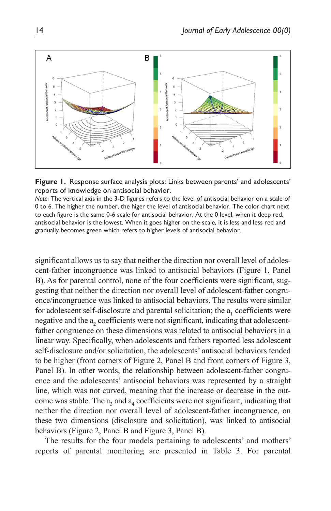



*Note.* The vertical axis in the 3-D figures refers to the level of antisocial behavior on a scale of 0 to 6. The higher the number, the higer the level of antisocial behavior. The color chart next to each figure is the same 0-6 scale for antisocial behavior. At the 0 level, when it deep red, antisocial behavior is the lowest. When it goes higher on the scale, it is less and less red and gradually becomes green which refers to higher levels of antisocial behavior.

significant allows us to say that neither the direction nor overall level of adolescent-father incongruence was linked to antisocial behaviors (Figure 1, Panel B). As for parental control, none of the four coefficients were significant, suggesting that neither the direction nor overall level of adolescent-father congruence/incongruence was linked to antisocial behaviors. The results were similar for adolescent self-disclosure and parental solicitation; the a<sub>1</sub> coefficients were negative and the a<sub>2</sub> coefficients were not significant, indicating that adolescentfather congruence on these dimensions was related to antisocial behaviors in a linear way. Specifically, when adolescents and fathers reported less adolescent self-disclosure and/or solicitation, the adolescents' antisocial behaviors tended to be higher (front corners of Figure 2, Panel B and front corners of Figure 3, Panel B). In other words, the relationship between adolescent-father congruence and the adolescents' antisocial behaviors was represented by a straight line, which was not curved, meaning that the increase or decrease in the outcome was stable. The  $a_3$  and  $a_4$  coefficients were not significant, indicating that neither the direction nor overall level of adolescent-father incongruence, on these two dimensions (disclosure and solicitation), was linked to antisocial behaviors (Figure 2, Panel B and Figure 3, Panel B).

The results for the four models pertaining to adolescents' and mothers' reports of parental monitoring are presented in Table 3. For parental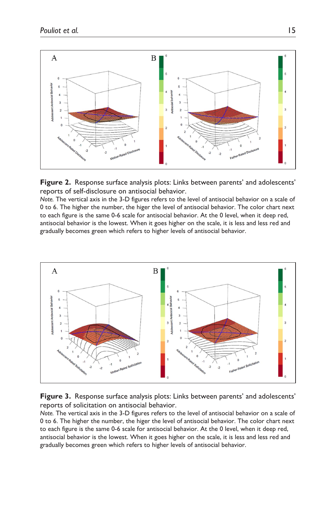

**Figure 2.** Response surface analysis plots: Links between parents' and adolescents' reports of self-disclosure on antisocial behavior.

*Note.* The vertical axis in the 3-D figures refers to the level of antisocial behavior on a scale of 0 to 6. The higher the number, the higer the level of antisocial behavior. The color chart next to each figure is the same 0-6 scale for antisocial behavior. At the 0 level, when it deep red, antisocial behavior is the lowest. When it goes higher on the scale, it is less and less red and gradually becomes green which refers to higher levels of antisocial behavior.



**Figure 3.** Response surface analysis plots: Links between parents' and adolescents' reports of solicitation on antisocial behavior.

*Note.* The vertical axis in the 3-D figures refers to the level of antisocial behavior on a scale of 0 to 6. The higher the number, the higer the level of antisocial behavior. The color chart next to each figure is the same 0-6 scale for antisocial behavior. At the 0 level, when it deep red, antisocial behavior is the lowest. When it goes higher on the scale, it is less and less red and gradually becomes green which refers to higher levels of antisocial behavior.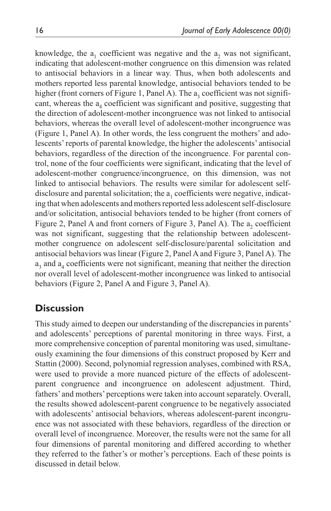knowledge, the  $a_1$  coefficient was negative and the  $a_2$  was not significant, indicating that adolescent-mother congruence on this dimension was related to antisocial behaviors in a linear way. Thus, when both adolescents and mothers reported less parental knowledge, antisocial behaviors tended to be higher (front corners of Figure 1, Panel A). The  $a_3$  coefficient was not significant, whereas the  $a_4$  coefficient was significant and positive, suggesting that the direction of adolescent-mother incongruence was not linked to antisocial behaviors, whereas the overall level of adolescent-mother incongruence was (Figure 1, Panel A). In other words, the less congruent the mothers' and adolescents' reports of parental knowledge, the higher the adolescents' antisocial behaviors, regardless of the direction of the incongruence. For parental control, none of the four coefficients were significant, indicating that the level of adolescent-mother congruence/incongruence, on this dimension, was not linked to antisocial behaviors. The results were similar for adolescent selfdisclosure and parental solicitation; the  $a<sub>1</sub>$  coefficients were negative, indicating that when adolescents and mothers reported less adolescent self-disclosure and/or solicitation, antisocial behaviors tended to be higher (front corners of Figure 2, Panel A and front corners of Figure 3, Panel A). The  $a_2$  coefficient was not significant, suggesting that the relationship between adolescentmother congruence on adolescent self-disclosure/parental solicitation and antisocial behaviors was linear (Figure 2, Panel A and Figure 3, Panel A). The  $a_3$  and  $a_4$  coefficients were not significant, meaning that neither the direction nor overall level of adolescent-mother incongruence was linked to antisocial behaviors (Figure 2, Panel A and Figure 3, Panel A).

# **Discussion**

This study aimed to deepen our understanding of the discrepancies in parents' and adolescents' perceptions of parental monitoring in three ways. First, a more comprehensive conception of parental monitoring was used, simultaneously examining the four dimensions of this construct proposed by Kerr and Stattin (2000). Second, polynomial regression analyses, combined with RSA, were used to provide a more nuanced picture of the effects of adolescentparent congruence and incongruence on adolescent adjustment. Third, fathers' and mothers' perceptions were taken into account separately. Overall, the results showed adolescent-parent congruence to be negatively associated with adolescents' antisocial behaviors, whereas adolescent-parent incongruence was not associated with these behaviors, regardless of the direction or overall level of incongruence. Moreover, the results were not the same for all four dimensions of parental monitoring and differed according to whether they referred to the father's or mother's perceptions. Each of these points is discussed in detail below.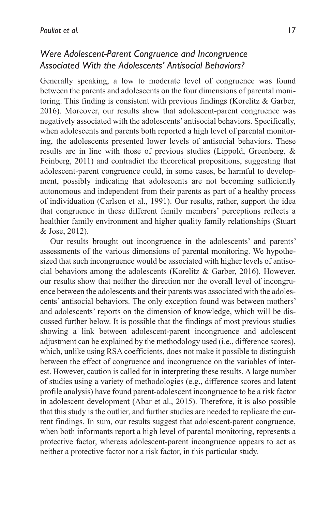# *Were Adolescent-Parent Congruence and Incongruence Associated With the Adolescents' Antisocial Behaviors?*

Generally speaking, a low to moderate level of congruence was found between the parents and adolescents on the four dimensions of parental monitoring. This finding is consistent with previous findings (Korelitz & Garber, 2016). Moreover, our results show that adolescent-parent congruence was negatively associated with the adolescents' antisocial behaviors. Specifically, when adolescents and parents both reported a high level of parental monitoring, the adolescents presented lower levels of antisocial behaviors. These results are in line with those of previous studies (Lippold, Greenberg, & Feinberg, 2011) and contradict the theoretical propositions, suggesting that adolescent-parent congruence could, in some cases, be harmful to development, possibly indicating that adolescents are not becoming sufficiently autonomous and independent from their parents as part of a healthy process of individuation (Carlson et al., 1991). Our results, rather, support the idea that congruence in these different family members' perceptions reflects a healthier family environment and higher quality family relationships (Stuart & Jose, 2012).

Our results brought out incongruence in the adolescents' and parents' assessments of the various dimensions of parental monitoring. We hypothesized that such incongruence would be associated with higher levels of antisocial behaviors among the adolescents (Korelitz  $\&$  Garber, 2016). However, our results show that neither the direction nor the overall level of incongruence between the adolescents and their parents was associated with the adolescents' antisocial behaviors. The only exception found was between mothers' and adolescents' reports on the dimension of knowledge, which will be discussed further below. It is possible that the findings of most previous studies showing a link between adolescent-parent incongruence and adolescent adjustment can be explained by the methodology used (i.e., difference scores), which, unlike using RSA coefficients, does not make it possible to distinguish between the effect of congruence and incongruence on the variables of interest. However, caution is called for in interpreting these results. A large number of studies using a variety of methodologies (e.g., difference scores and latent profile analysis) have found parent-adolescent incongruence to be a risk factor in adolescent development (Abar et al., 2015). Therefore, it is also possible that this study is the outlier, and further studies are needed to replicate the current findings. In sum, our results suggest that adolescent-parent congruence, when both informants report a high level of parental monitoring, represents a protective factor, whereas adolescent-parent incongruence appears to act as neither a protective factor nor a risk factor, in this particular study.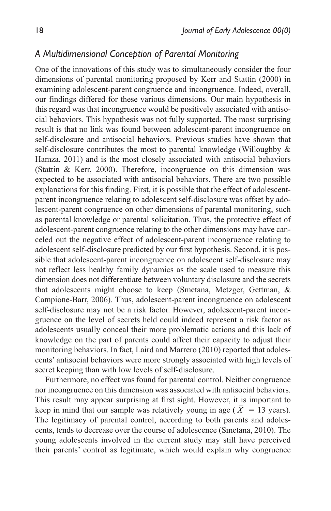## *A Multidimensional Conception of Parental Monitoring*

One of the innovations of this study was to simultaneously consider the four dimensions of parental monitoring proposed by Kerr and Stattin (2000) in examining adolescent-parent congruence and incongruence. Indeed, overall, our findings differed for these various dimensions. Our main hypothesis in this regard was that incongruence would be positively associated with antisocial behaviors. This hypothesis was not fully supported. The most surprising result is that no link was found between adolescent-parent incongruence on self-disclosure and antisocial behaviors. Previous studies have shown that self-disclosure contributes the most to parental knowledge (Willoughby & Hamza, 2011) and is the most closely associated with antisocial behaviors (Stattin & Kerr, 2000). Therefore, incongruence on this dimension was expected to be associated with antisocial behaviors. There are two possible explanations for this finding. First, it is possible that the effect of adolescentparent incongruence relating to adolescent self-disclosure was offset by adolescent-parent congruence on other dimensions of parental monitoring, such as parental knowledge or parental solicitation. Thus, the protective effect of adolescent-parent congruence relating to the other dimensions may have canceled out the negative effect of adolescent-parent incongruence relating to adolescent self-disclosure predicted by our first hypothesis. Second, it is possible that adolescent-parent incongruence on adolescent self-disclosure may not reflect less healthy family dynamics as the scale used to measure this dimension does not differentiate between voluntary disclosure and the secrets that adolescents might choose to keep (Smetana, Metzger, Gettman, & Campione-Barr, 2006). Thus, adolescent-parent incongruence on adolescent self-disclosure may not be a risk factor. However, adolescent-parent incongruence on the level of secrets held could indeed represent a risk factor as adolescents usually conceal their more problematic actions and this lack of knowledge on the part of parents could affect their capacity to adjust their monitoring behaviors. In fact, Laird and Marrero (2010) reported that adolescents' antisocial behaviors were more strongly associated with high levels of secret keeping than with low levels of self-disclosure.

Furthermore, no effect was found for parental control. Neither congruence nor incongruence on this dimension was associated with antisocial behaviors. This result may appear surprising at first sight. However, it is important to keep in mind that our sample was relatively young in age  $(X = 13 \text{ years})$ . The legitimacy of parental control, according to both parents and adolescents, tends to decrease over the course of adolescence (Smetana, 2010). The young adolescents involved in the current study may still have perceived their parents' control as legitimate, which would explain why congruence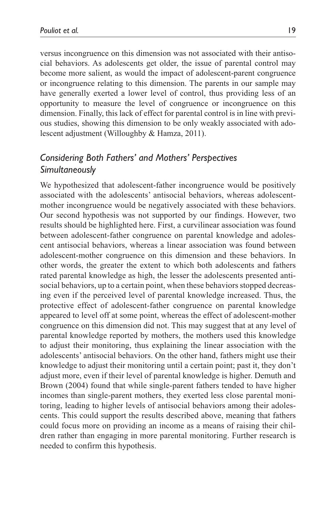versus incongruence on this dimension was not associated with their antisocial behaviors. As adolescents get older, the issue of parental control may become more salient, as would the impact of adolescent-parent congruence or incongruence relating to this dimension. The parents in our sample may have generally exerted a lower level of control, thus providing less of an opportunity to measure the level of congruence or incongruence on this dimension. Finally, this lack of effect for parental control is in line with previous studies, showing this dimension to be only weakly associated with adolescent adjustment (Willoughby & Hamza, 2011).

## *Considering Both Fathers' and Mothers' Perspectives Simultaneously*

We hypothesized that adolescent-father incongruence would be positively associated with the adolescents' antisocial behaviors, whereas adolescentmother incongruence would be negatively associated with these behaviors. Our second hypothesis was not supported by our findings. However, two results should be highlighted here. First, a curvilinear association was found between adolescent-father congruence on parental knowledge and adolescent antisocial behaviors, whereas a linear association was found between adolescent-mother congruence on this dimension and these behaviors. In other words, the greater the extent to which both adolescents and fathers rated parental knowledge as high, the lesser the adolescents presented antisocial behaviors, up to a certain point, when these behaviors stopped decreasing even if the perceived level of parental knowledge increased. Thus, the protective effect of adolescent-father congruence on parental knowledge appeared to level off at some point, whereas the effect of adolescent-mother congruence on this dimension did not. This may suggest that at any level of parental knowledge reported by mothers, the mothers used this knowledge to adjust their monitoring, thus explaining the linear association with the adolescents' antisocial behaviors. On the other hand, fathers might use their knowledge to adjust their monitoring until a certain point; past it, they don't adjust more, even if their level of parental knowledge is higher. Demuth and Brown (2004) found that while single-parent fathers tended to have higher incomes than single-parent mothers, they exerted less close parental monitoring, leading to higher levels of antisocial behaviors among their adolescents. This could support the results described above, meaning that fathers could focus more on providing an income as a means of raising their children rather than engaging in more parental monitoring. Further research is needed to confirm this hypothesis.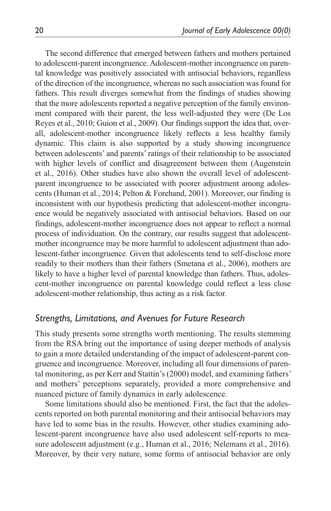The second difference that emerged between fathers and mothers pertained to adolescent-parent incongruence. Adolescent-mother incongruence on parental knowledge was positively associated with antisocial behaviors, regardless of the direction of the incongruence, whereas no such association was found for fathers. This result diverges somewhat from the findings of studies showing that the more adolescents reported a negative perception of the family environment compared with their parent, the less well-adjusted they were (De Los Reyes et al., 2010; Guion et al., 2009). Our findings support the idea that, overall, adolescent-mother incongruence likely reflects a less healthy family dynamic. This claim is also supported by a study showing incongruence between adolescents' and parents' ratings of their relationship to be associated with higher levels of conflict and disagreement between them (Augenstein et al., 2016). Other studies have also shown the overall level of adolescentparent incongruence to be associated with poorer adjustment among adolescents (Human et al., 2014; Pelton & Forehand, 2001). Moreover, our finding is inconsistent with our hypothesis predicting that adolescent-mother incongruence would be negatively associated with antisocial behaviors. Based on our findings, adolescent-mother incongruence does not appear to reflect a normal process of individuation. On the contrary, our results suggest that adolescentmother incongruence may be more harmful to adolescent adjustment than adolescent-father incongruence. Given that adolescents tend to self-disclose more readily to their mothers than their fathers (Smetana et al., 2006), mothers are likely to have a higher level of parental knowledge than fathers. Thus, adolescent-mother incongruence on parental knowledge could reflect a less close adolescent-mother relationship, thus acting as a risk factor.

## *Strengths, Limitations, and Avenues for Future Research*

This study presents some strengths worth mentioning. The results stemming from the RSA bring out the importance of using deeper methods of analysis to gain a more detailed understanding of the impact of adolescent-parent congruence and incongruence. Moreover, including all four dimensions of parental monitoring, as per Kerr and Stattin's (2000) model, and examining fathers' and mothers' perceptions separately, provided a more comprehensive and nuanced picture of family dynamics in early adolescence.

Some limitations should also be mentioned. First, the fact that the adolescents reported on both parental monitoring and their antisocial behaviors may have led to some bias in the results. However, other studies examining adolescent-parent incongruence have also used adolescent self-reports to measure adolescent adjustment (e.g., Human et al., 2016; Nelemans et al., 2016). Moreover, by their very nature, some forms of antisocial behavior are only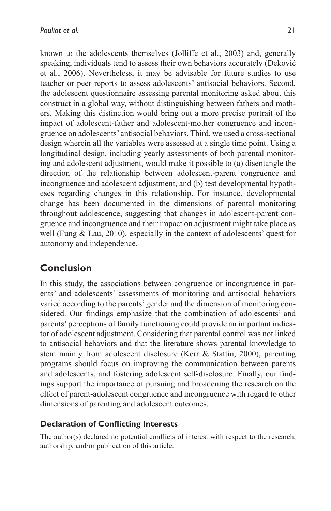known to the adolescents themselves (Jolliffe et al., 2003) and, generally speaking, individuals tend to assess their own behaviors accurately (Deković et al., 2006). Nevertheless, it may be advisable for future studies to use teacher or peer reports to assess adolescents' antisocial behaviors. Second, the adolescent questionnaire assessing parental monitoring asked about this construct in a global way, without distinguishing between fathers and mothers. Making this distinction would bring out a more precise portrait of the impact of adolescent-father and adolescent-mother congruence and incongruence on adolescents' antisocial behaviors. Third, we used a cross-sectional design wherein all the variables were assessed at a single time point. Using a longitudinal design, including yearly assessments of both parental monitoring and adolescent adjustment, would make it possible to (a) disentangle the direction of the relationship between adolescent-parent congruence and incongruence and adolescent adjustment, and (b) test developmental hypotheses regarding changes in this relationship. For instance, developmental change has been documented in the dimensions of parental monitoring throughout adolescence, suggesting that changes in adolescent-parent congruence and incongruence and their impact on adjustment might take place as well (Fung & Lau, 2010), especially in the context of adolescents' quest for autonomy and independence.

# **Conclusion**

In this study, the associations between congruence or incongruence in parents' and adolescents' assessments of monitoring and antisocial behaviors varied according to the parents' gender and the dimension of monitoring considered. Our findings emphasize that the combination of adolescents' and parents' perceptions of family functioning could provide an important indicator of adolescent adjustment. Considering that parental control was not linked to antisocial behaviors and that the literature shows parental knowledge to stem mainly from adolescent disclosure (Kerr & Stattin, 2000), parenting programs should focus on improving the communication between parents and adolescents, and fostering adolescent self-disclosure. Finally, our findings support the importance of pursuing and broadening the research on the effect of parent-adolescent congruence and incongruence with regard to other dimensions of parenting and adolescent outcomes.

### **Declaration of Conflicting Interests**

The author(s) declared no potential conflicts of interest with respect to the research, authorship, and/or publication of this article.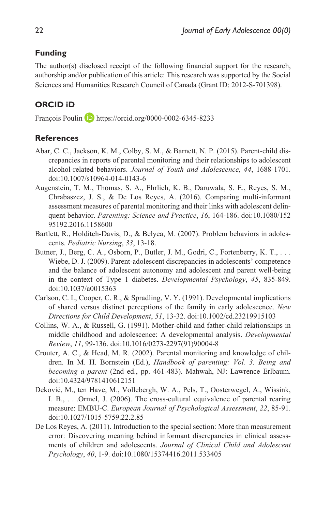### **Funding**

The author(s) disclosed receipt of the following financial support for the research, authorship and/or publication of this article: This research was supported by the Social Sciences and Humanities Research Council of Canada (Grant ID: 2012-S-701398).

### **ORCID iD**

François Poulin <https://orcid.org/0000-0002-6345-8233>

#### **References**

- Abar, C. C., Jackson, K. M., Colby, S. M., & Barnett, N. P. (2015). Parent-child discrepancies in reports of parental monitoring and their relationships to adolescent alcohol-related behaviors. *Journal of Youth and Adolescence*, *44*, 1688-1701. doi:10.1007/s10964-014-0143-6
- Augenstein, T. M., Thomas, S. A., Ehrlich, K. B., Daruwala, S. E., Reyes, S. M., Chrabaszcz, J. S., & De Los Reyes, A. (2016). Comparing multi-informant assessment measures of parental monitoring and their links with adolescent delinquent behavior. *Parenting: Science and Practice*, *16*, 164-186. doi:10.1080/152 95192.2016.1158600
- Bartlett, R., Holditch-Davis, D., & Belyea, M. (2007). Problem behaviors in adolescents. *Pediatric Nursing*, *33*, 13-18.
- Butner, J., Berg, C. A., Osborn, P., Butler, J. M., Godri, C., Fortenberry, K. T., ... Wiebe, D. J. (2009). Parent-adolescent discrepancies in adolescents' competence and the balance of adolescent autonomy and adolescent and parent well-being in the context of Type 1 diabetes. *Developmental Psychology*, *45*, 835-849. doi:10.1037/a0015363
- Carlson, C. I., Cooper, C. R., & Spradling, V. Y. (1991). Developmental implications of shared versus distinct perceptions of the family in early adolescence. *New Directions for Child Development*, *51*, 13-32. doi:10.1002/cd.23219915103
- Collins, W. A., & Russell, G. (1991). Mother-child and father-child relationships in middle childhood and adolescence: A developmental analysis. *Developmental Review*, *11*, 99-136. doi:10.1016/0273-2297(91)90004-8
- Crouter, A. C., & Head, M. R. (2002). Parental monitoring and knowledge of children. In M. H. Bornstein (Ed.), *Handbook of parenting: Vol. 3. Being and becoming a parent* (2nd ed., pp. 461-483). Mahwah, NJ: Lawrence Erlbaum. doi:10.4324/9781410612151
- Deković, M., ten Have, M., Vollebergh, W. A., Pels, T., Oosterwegel, A., Wissink, I. B., . . .Ormel, J. (2006). The cross-cultural equivalence of parental rearing measure: EMBU-C. *European Journal of Psychological Assessment*, *22*, 85-91. doi:10.1027/1015-5759.22.2.85
- De Los Reyes, A. (2011). Introduction to the special section: More than measurement error: Discovering meaning behind informant discrepancies in clinical assessments of children and adolescents. *Journal of Clinical Child and Adolescent Psychology*, *40*, 1-9. doi:10.1080/15374416.2011.533405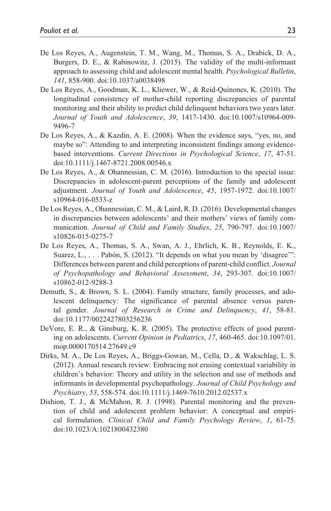- De Los Reyes, A., Augenstein, T. M., Wang, M., Thomas, S. A., Drabick, D. A., Burgers, D. E., & Rabinowitz, J. (2015). The validity of the multi-informant approach to assessing child and adolescent mental health. *Psychological Bulletin*, *141*, 858-900. doi:10.1037/a0038498
- De Los Reyes, A., Goodman, K. L., Kliewer, W., & Reid-Quinones, K. (2010). The longitudinal consistency of mother-child reporting discrepancies of parental monitoring and their ability to predict child delinquent behaviors two years later. *Journal of Youth and Adolescence*, *39*, 1417-1430. doi:10.1007/s10964-009- 9496-7
- De Los Reyes, A., & Kazdin, A. E. (2008). When the evidence says, "yes, no, and maybe so": Attending to and interpreting inconsistent findings among evidencebased interventions. *Current Directions in Psychological Science*, *17*, 47-51. doi:10.1111/j.1467-8721.2008.00546.x
- De Los Reyes, A., & Ohannessian, C. M. (2016). Introduction to the special issue: Discrepancies in adolescent-parent perceptions of the family and adolescent adjustment. *Journal of Youth and Adolescence*, *45*, 1957-1972. doi:10.1007/ s10964-016-0533-z
- De Los Reyes, A., Ohannessian, C. M., & Laird, R. D. (2016). Developmental changes in discrepancies between adolescents' and their mothers' views of family communication. *Journal of Child and Family Studies*, *25*, 790-797. doi:10.1007/ s10826-015-0275-7
- De Los Reyes, A., Thomas, S. A., Swan, A. J., Ehrlich, K. B., Reynolds, E. K., Suarez, L., . . . Pabón, S. (2012). "It depends on what you mean by 'disagree'": Differences between parent and child perceptions of parent-child conflict. *Journal of Psychopathology and Behavioral Assessment*, *34*, 293-307. doi:10.1007/ s10862-012-9288-3
- Demuth, S., & Brown, S. L. (2004). Family structure, family processes, and adolescent delinquency: The significance of parental absence versus parental gender. *Journal of Research in Crime and Delinquency*, *41*, 58-81. doi:10.1177/0022427803256236
- DeVore, E. R., & Ginsburg, K. R. (2005). The protective effects of good parenting on adolescents. *Current Opinion in Pediatrics*, *17*, 460-465. doi:10.1097/01. mop.0000170514.27649.c9
- Dirks, M. A., De Los Reyes, A., Briggs-Gowan, M., Cella, D., & Wakschlag, L. S. (2012). Annual research review: Embracing not erasing contextual variability in children's behavior: Theory and utility in the selection and use of methods and informants in developmental psychopathology. *Journal of Child Psychology and Psychiatry*, *53*, 558-574. doi:10.1111/j.1469-7610.2012.02537.x
- Dishion, T. J., & McMahon, R. J. (1998). Parental monitoring and the prevention of child and adolescent problem behavior: A conceptual and empirical formulation. *Clinical Child and Family Psychology Review*, *1*, 61-75. doi:10.1023/A:1021800432380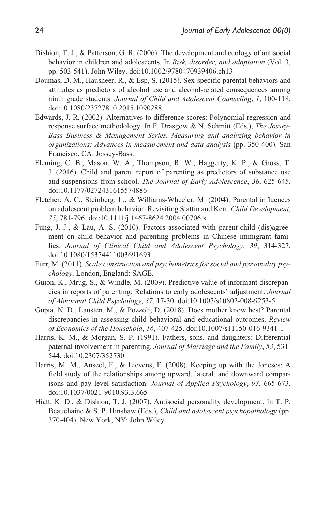- Dishion, T. J., & Patterson, G. R. (2006). The development and ecology of antisocial behavior in children and adolescents. In *Risk, disorder, and adaptation* (Vol. 3, pp. 503-541). John Wiley. doi:10.1002/9780470939406.ch13
- Doumas, D. M., Hausheer, R., & Esp, S. (2015). Sex-specific parental behaviors and attitudes as predictors of alcohol use and alcohol-related consequences among ninth grade students. *Journal of Child and Adolescent Counseling*, *1*, 100-118. doi:10.1080/23727810.2015.1090288
- Edwards, J. R. (2002). Alternatives to difference scores: Polynomial regression and response surface methodology. In F. Drasgow & N. Schmitt (Eds.), *The Jossey-Bass Business & Management Series. Measuring and analyzing behavior in organizations: Advances in measurement and data analysis* (pp. 350-400). San Francisco, CA: Jossey-Bass.
- Fleming, C. B., Mason, W. A., Thompson, R. W., Haggerty, K. P., & Gross, T. J. (2016). Child and parent report of parenting as predictors of substance use and suspensions from school. *The Journal of Early Adolescence*, *36*, 625-645. doi:10.1177/0272431615574886
- Fletcher, A. C., Steinberg, L., & Williams-Wheeler, M. (2004). Parental influences on adolescent problem behavior: Revisiting Stattin and Kerr. *Child Development*, *75*, 781-796. doi:10.1111/j.1467-8624.2004.00706.x
- Fung, J. J., & Lau, A. S. (2010). Factors associated with parent-child (dis)agreement on child behavior and parenting problems in Chinese immigrant families. *Journal of Clinical Child and Adolescent Psychology*, *39*, 314-327. doi:10.1080/15374411003691693
- Furr, M. (2011). *Scale construction and psychometrics for social and personality psychology*. London, England: SAGE.
- Guion, K., Mrug, S., & Windle, M. (2009). Predictive value of informant discrepancies in reports of parenting: Relations to early adolescents' adjustment. *Journal of Abnormal Child Psychology*, *37*, 17-30. doi:10.1007/s10802-008-9253-5
- Gupta, N. D., Lausten, M., & Pozzoli, D. (2018). Does mother know best? Parental discrepancies in assessing child behavioral and educational outcomes. *Review of Economics of the Household*, *16*, 407-425. doi:10.1007/s11150-016-9341-1
- Harris, K. M., & Morgan, S. P. (1991). Fathers, sons, and daughters: Differential paternal involvement in parenting. *Journal of Marriage and the Family*, *53*, 531- 544. doi:10.2307/352730
- Harris, M. M., Anseel, F., & Lievens, F. (2008). Keeping up with the Joneses: A field study of the relationships among upward, lateral, and downward comparisons and pay level satisfaction. *Journal of Applied Psychology*, *93*, 665-673. doi:10.1037/0021-9010.93.3.665
- Hiatt, K. D., & Dishion, T. J. (2007). Antisocial personality development. In T. P. Beauchaine & S. P. Hinshaw (Eds.), *Child and adolescent psychopathology* (pp. 370-404). New York, NY: John Wiley.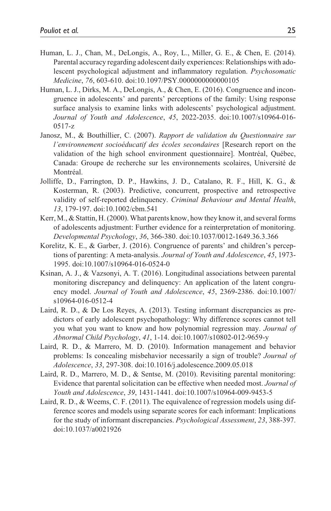- Human, L. J., Chan, M., DeLongis, A., Roy, L., Miller, G. E., & Chen, E. (2014). Parental accuracy regarding adolescent daily experiences: Relationships with adolescent psychological adjustment and inflammatory regulation. *Psychosomatic Medicine*, *76*, 603-610. doi:10.1097/PSY.0000000000000105
- Human, L. J., Dirks, M. A., DeLongis, A., & Chen, E. (2016). Congruence and incongruence in adolescents' and parents' perceptions of the family: Using response surface analysis to examine links with adolescents' psychological adjustment. *Journal of Youth and Adolescence*, *45*, 2022-2035. doi:10.1007/s10964-016- 0517-z
- Janosz, M., & Bouthillier, C. (2007). *Rapport de validation du Questionnaire sur l'environnement socioéducatif des écoles secondaires* [Research report on the validation of the high school environment questionnaire]. Montréal, Québec, Canada: Groupe de recherche sur les environnements scolaires, Université de Montréal.
- Jolliffe, D., Farrington, D. P., Hawkins, J. D., Catalano, R. F., Hill, K. G., & Kosterman, R. (2003). Predictive, concurrent, prospective and retrospective validity of self-reported delinquency. *Criminal Behaviour and Mental Health*, *13*, 179-197. doi:10.1002/cbm.541
- Kerr, M., & Stattin, H. (2000). What parents know, how they know it, and several forms of adolescents adjustment: Further evidence for a reinterpretation of monitoring. *Developmental Psychology*, *36*, 366-380. doi:10.1037/0012-1649.36.3.366
- Korelitz, K. E., & Garber, J. (2016). Congruence of parents' and children's perceptions of parenting: A meta-analysis. *Journal of Youth and Adolescence*, *45*, 1973- 1995. doi:10.1007/s10964-016-0524-0
- Ksinan, A. J., & Vazsonyi, A. T. (2016). Longitudinal associations between parental monitoring discrepancy and delinquency: An application of the latent congruency model. *Journal of Youth and Adolescence*, *45*, 2369-2386. doi:10.1007/ s10964-016-0512-4
- Laird, R. D., & De Los Reyes, A. (2013). Testing informant discrepancies as predictors of early adolescent psychopathology: Why difference scores cannot tell you what you want to know and how polynomial regression may. *Journal of Abnormal Child Psychology*, *41*, 1-14. doi:10.1007/s10802-012-9659-y
- Laird, R. D., & Marrero, M. D. (2010). Information management and behavior problems: Is concealing misbehavior necessarily a sign of trouble? *Journal of Adolescence*, *33*, 297-308. doi:10.1016/j.adolescence.2009.05.018
- Laird, R. D., Marrero, M. D., & Sentse, M. (2010). Revisiting parental monitoring: Evidence that parental solicitation can be effective when needed most. *Journal of Youth and Adolescence*, *39*, 1431-1441. doi:10.1007/s10964-009-9453-5
- Laird, R. D., & Weems, C. F. (2011). The equivalence of regression models using difference scores and models using separate scores for each informant: Implications for the study of informant discrepancies. *Psychological Assessment*, *23*, 388-397. doi:10.1037/a0021926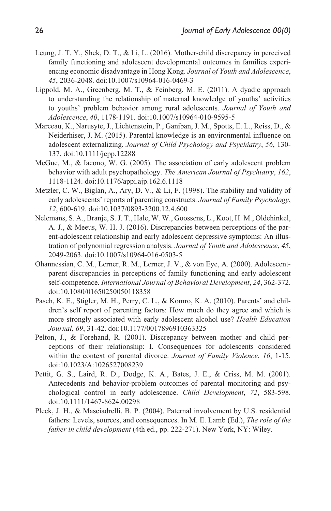- Leung, J. T. Y., Shek, D. T., & Li, L. (2016). Mother-child discrepancy in perceived family functioning and adolescent developmental outcomes in families experiencing economic disadvantage in Hong Kong. *Journal of Youth and Adolescence*, *45*, 2036-2048. doi:10.1007/s10964-016-0469-3
- Lippold, M. A., Greenberg, M. T., & Feinberg, M. E. (2011). A dyadic approach to understanding the relationship of maternal knowledge of youths' activities to youths' problem behavior among rural adolescents. *Journal of Youth and Adolescence*, *40*, 1178-1191. doi:10.1007/s10964-010-9595-5
- Marceau, K., Narusyte, J., Lichtenstein, P., Ganiban, J. M., Spotts, E. L., Reiss, D., & Neiderhiser, J. M. (2015). Parental knowledge is an environmental influence on adolescent externalizing. *Journal of Child Psychology and Psychiatry*, *56*, 130- 137. doi:10.1111/jcpp.12288
- McGue, M., & Iacono, W. G. (2005). The association of early adolescent problem behavior with adult psychopathology. *The American Journal of Psychiatry*, *162*, 1118-1124. doi:10.1176/appi.ajp.162.6.1118
- Metzler, C. W., Biglan, A., Ary, D. V., & Li, F. (1998). The stability and validity of early adolescents' reports of parenting constructs. *Journal of Family Psychology*, *12*, 600-619. doi:10.1037/0893-3200.12.4.600
- Nelemans, S. A., Branje, S. J. T., Hale, W. W., Goossens, L., Koot, H. M., Oldehinkel, A. J., & Meeus, W. H. J. (2016). Discrepancies between perceptions of the parent-adolescent relationship and early adolescent depressive symptoms: An illustration of polynomial regression analysis. *Journal of Youth and Adolescence*, *45*, 2049-2063. doi:10.1007/s10964-016-0503-5
- Ohannessian, C. M., Lerner, R. M., Lerner, J. V., & von Eye, A. (2000). Adolescentparent discrepancies in perceptions of family functioning and early adolescent self-competence. *International Journal of Behavioral Development*, *24*, 362-372. doi:10.1080/01650250050118358
- Pasch, K. E., Stigler, M. H., Perry, C. L., & Komro, K. A. (2010). Parents' and children's self report of parenting factors: How much do they agree and which is more strongly associated with early adolescent alcohol use? *Health Education Journal*, *69*, 31-42. doi:10.1177/0017896910363325
- Pelton, J., & Forehand, R. (2001). Discrepancy between mother and child perceptions of their relationship: I. Consequences for adolescents considered within the context of parental divorce. *Journal of Family Violence*, *16*, 1-15. doi:10.1023/A:1026527008239
- Pettit, G. S., Laird, R. D., Dodge, K. A., Bates, J. E., & Criss, M. M. (2001). Antecedents and behavior-problem outcomes of parental monitoring and psychological control in early adolescence. *Child Development*, *72*, 583-598. doi:10.1111/1467-8624.00298
- Pleck, J. H., & Masciadrelli, B. P. (2004). Paternal involvement by U.S. residential fathers: Levels, sources, and consequences. In M. E. Lamb (Ed.), *The role of the father in child development* (4th ed., pp. 222-271). New York, NY: Wiley.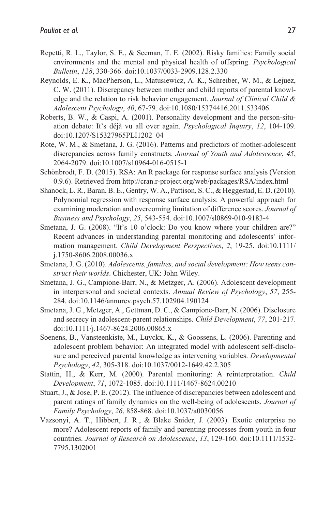- Repetti, R. L., Taylor, S. E., & Seeman, T. E. (2002). Risky families: Family social environments and the mental and physical health of offspring. *Psychological Bulletin*, *128*, 330-366. doi:10.1037/0033-2909.128.2.330
- Reynolds, E. K., MacPherson, L., Matusiewicz, A. K., Schreiber, W. M., & Lejuez, C. W. (2011). Discrepancy between mother and child reports of parental knowledge and the relation to risk behavior engagement. *Journal of Clinical Child & Adolescent Psychology*, *40*, 67-79. doi:10.1080/15374416.2011.533406
- Roberts, B. W., & Caspi, A. (2001). Personality development and the person-situation debate: It's déjà vu all over again. *Psychological Inquiry*, *12*, 104-109. doi:10.1207/S15327965PLI1202\_04
- Rote, W. M., & Smetana, J. G. (2016). Patterns and predictors of mother-adolescent discrepancies across family constructs. *Journal of Youth and Adolescence*, *45*, 2064-2079. doi:10.1007/s10964-016-0515-1
- Schönbrodt, F. D. (2015). RSA: An R package for response surface analysis (Version 0.9.6). Retrieved from<http://cran.r-project.org/web/packages/RSA/index.html>
- Shanock, L. R., Baran, B. E., Gentry, W. A., Pattison, S. C., & Heggestad, E. D. (2010). Polynomial regression with response surface analysis: A powerful approach for examining moderation and overcoming limitation of difference scores. *Journal of Business and Psychology*, *25*, 543-554. doi:10.1007/sl0869-010-9183-4
- Smetana, J. G. (2008). "It's 10 o'clock: Do you know where your children are?" Recent advances in understanding parental monitoring and adolescents' information management. *Child Development Perspectives*, *2*, 19-25. doi:10.1111/ j.1750-8606.2008.00036.x
- Smetana, J. G. (2010). *Adolescents, families, and social development: How teens construct their worlds*. Chichester, UK: John Wiley.
- Smetana, J. G., Campione-Barr, N., & Metzger, A. (2006). Adolescent development in interpersonal and societal contexts. *Annual Review of Psychology*, *57*, 255- 284. doi:10.1146/annurev.psych.57.102904.190124
- Smetana, J. G., Metzger, A., Gettman, D. C., & Campione-Barr, N. (2006). Disclosure and secrecy in adolescent-parent relationships. *Child Development*, *77*, 201-217. doi:10.1111/j.1467-8624.2006.00865.x
- Soenens, B., Vansteenkiste, M., Luyckx, K., & Goossens, L. (2006). Parenting and adolescent problem behavior: An integrated model with adolescent self-disclosure and perceived parental knowledge as intervening variables. *Developmental Psychology*, *42*, 305-318. doi:10.1037/0012-1649.42.2.305
- Stattin, H., & Kerr, M. (2000). Parental monitoring: A reinterpretation. *Child Development*, *71*, 1072-1085. doi:10.1111/1467-8624.00210
- Stuart, J., & Jose, P. E. (2012). The influence of discrepancies between adolescent and parent ratings of family dynamics on the well-being of adolescents. *Journal of Family Psychology*, *26*, 858-868. doi:10.1037/a0030056
- Vazsonyi, A. T., Hibbert, J. R., & Blake Snider, J. (2003). Exotic enterprise no more? Adolescent reports of family and parenting processes from youth in four countries. *Journal of Research on Adolescence*, *13*, 129-160. doi:10.1111/1532- 7795.1302001